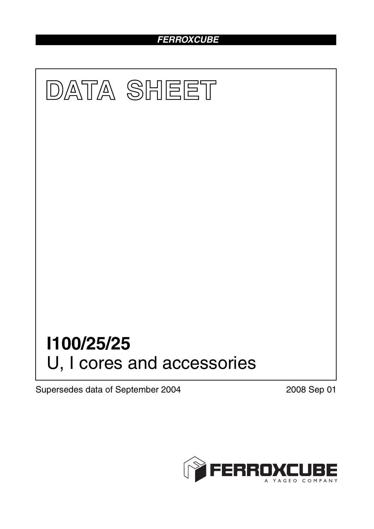# *FERROXCUBE*



Supersedes data of September 2004 2008 Sep 01

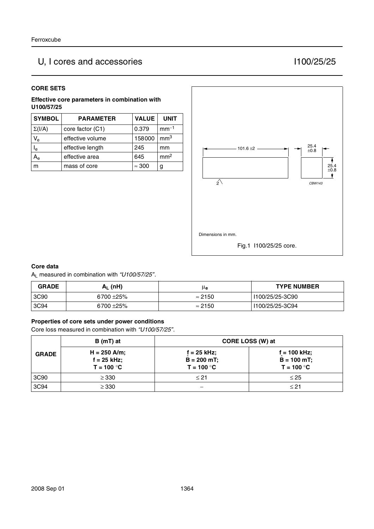# U, I cores and accessories I100/25/25

#### **CORE SETS**

**Effective core parameters in combination with U100/57/25**

| <b>SYMBOL</b>  | <b>PARAMETER</b> | <b>VALUE</b>  | <b>UNIT</b>     |
|----------------|------------------|---------------|-----------------|
| $\Sigma(I/A)$  | core factor (C1) | 0.379         | $mm-1$          |
| $V_{\rm e}$    | effective volume | 158000        | mm <sup>3</sup> |
| l <sub>e</sub> | effective length | 245           | mm              |
| $A_{\rm e}$    | effective area   | 645           | mm <sup>2</sup> |
|                | mass of core     | $\approx 300$ | g               |



#### **Core data**

AL measured in combination with *"U100/57/25"*.

| <b>GRADE</b> | A <sub>L</sub> (nH) | μe             | <b>TYPE NUMBER</b> |
|--------------|---------------------|----------------|--------------------|
| 3C90         | $6700 + 25\%$       | $\approx$ 2150 | I100/25/25-3C90    |
| 3C94         | 6700 ±25%           | $\approx 2150$ | I100/25/25-3C94    |

#### **Properties of core sets under power conditions**

Core loss measured in combination with *"U100/57/25"*.

|              | B (mT) at                                       | CORE LOSS (W) at                               |                                                  |
|--------------|-------------------------------------------------|------------------------------------------------|--------------------------------------------------|
| <b>GRADE</b> | $H = 250$ A/m;<br>$f = 25$ kHz;<br>$T = 100 °C$ | $f = 25$ kHz;<br>$B = 200$ mT;<br>$T = 100 °C$ | $f = 100$ kHz;<br>$B = 100 mT$ ;<br>$T = 100 °C$ |
| 3C90         | $\geq$ 330                                      | $\leq 21$                                      | $\leq$ 25                                        |
| 3C94         | $\geq$ 330                                      |                                                | $\leq 21$                                        |